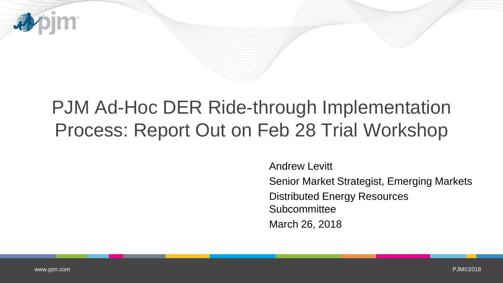

## PJM Ad-Hoc DER Ride-through Implementation Process: Report Out on Feb 28 Trial Workshop

Andrew Levitt Senior Market Strategist, Emerging Markets Distributed Energy Resources **Subcommittee** March 26, 2018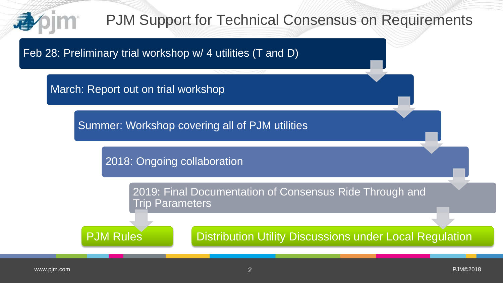

## PJM Support for Technical Consensus on Requirements

Feb 28: Preliminary trial workshop w/ 4 utilities (T and D)

March: Report out on trial workshop

Summer: Workshop covering all of PJM utilities

2018: Ongoing collaboration

2019: Final Documentation of Consensus Ride Through and Trip Parameters

PJM Rules **Distribution Utility Discussions under Local Regulation**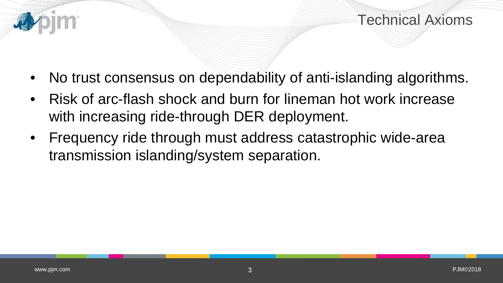

- No trust consensus on dependability of anti-islanding algorithms.
- Risk of arc-flash shock and burn for lineman hot work increase with increasing ride-through DER deployment.
- Frequency ride through must address catastrophic wide-area transmission islanding/system separation.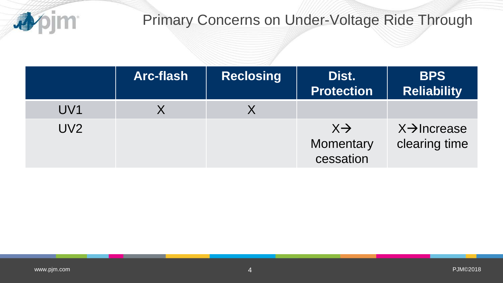

## Primary Concerns on Under-Voltage Ride Through

|                 | <b>Arc-flash</b> | <b>Reclosing</b> | Dist.<br><b>Protection</b>                | <b>BPS</b><br><b>Reliability</b>         |
|-----------------|------------------|------------------|-------------------------------------------|------------------------------------------|
| UV1             |                  |                  |                                           |                                          |
| UV <sub>2</sub> |                  |                  | $X \rightarrow$<br>Momentary<br>cessation | $X\rightarrow$ Increase<br>clearing time |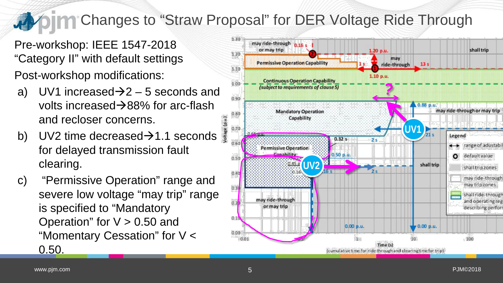## **EXPIRENT Changes to "Straw Proposal" for DER Voltage Ride Through**

Pre-workshop: IEEE 1547-2018 "Category II" with default settings Post-workshop modifications:

- a) UV1 increased  $\rightarrow$  2 5 seconds and volts increased $\rightarrow$ 88% for arc-flash and recloser concerns.
- b) UV2 time decreased $\rightarrow$ 1.1 seconds for delayed transmission fault clearing.
- c) "Permissive Operation" range and severe low voltage "may trip" range is specified to "Mandatory Operation" for  $V > 0.50$  and "Momentary Cessation" for V < 0.50.

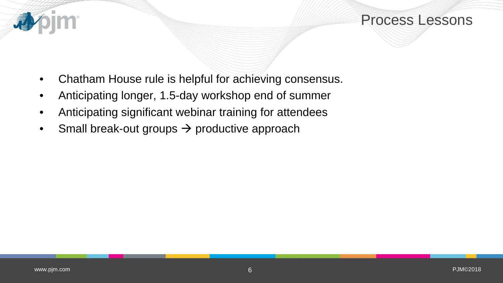

- Chatham House rule is helpful for achieving consensus.
- Anticipating longer, 1.5-day workshop end of summer
- Anticipating significant webinar training for attendees
- Small break-out groups  $\rightarrow$  productive approach